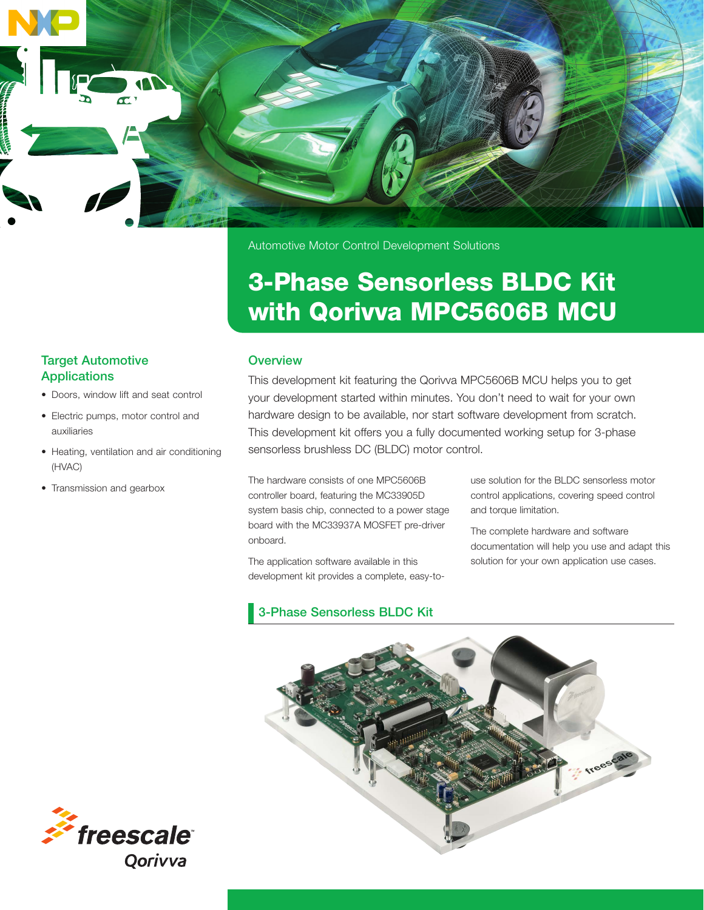

Automotive Motor Control Development Solutions

# 3-Phase Sensorless BLDC Kit with Qorivva MPC5606B MCU

#### **Overview**

This development kit featuring the Qorivva MPC5606B MCU helps you to get your development started within minutes. You don't need to wait for your own hardware design to be available, nor start software development from scratch. This development kit offers you a fully documented working setup for 3-phase sensorless brushless DC (BLDC) motor control.

The hardware consists of one MPC5606B controller board, featuring the MC33905D system basis chip, connected to a power stage board with the MC33937A MOSFET pre-driver onboard.

The application software available in this development kit provides a complete, easy-touse solution for the BLDC sensorless motor control applications, covering speed control and torque limitation.

The complete hardware and software documentation will help you use and adapt this solution for your own application use cases.

3-Phase Sensorless BLDC Kit



#### Target Automotive Applications

- Doors, window lift and seat control
- Electric pumps, motor control and auxiliaries
- Heating, ventilation and air conditioning (HVAC)
- Transmission and gearbox